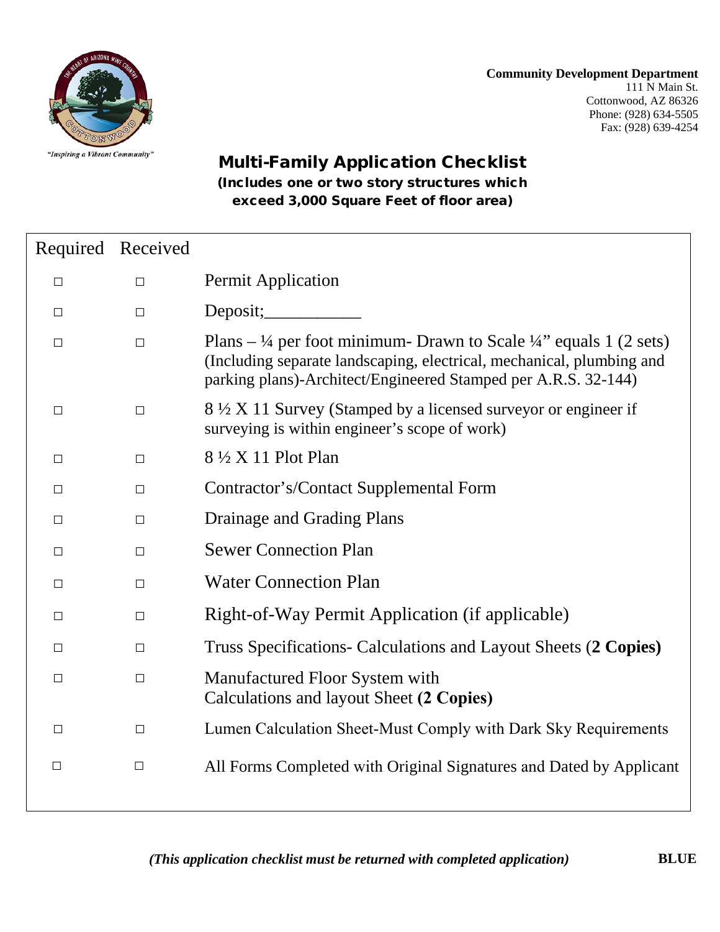**Community Development Department** 111 N Main St. Cottonwood, AZ 86326 Phone: (928) 634-5505 Fax: (928) 639-4254



## Multi-Family Application Checklist (Includes one or two story structures which exceed 3,000 Square Feet of floor area)

|        | Required Received |                                                                                                                                                                                                                                          |
|--------|-------------------|------------------------------------------------------------------------------------------------------------------------------------------------------------------------------------------------------------------------------------------|
| $\Box$ | $\Box$            | <b>Permit Application</b>                                                                                                                                                                                                                |
| $\Box$ | $\Box$            | Deposit;                                                                                                                                                                                                                                 |
| $\Box$ | $\Box$            | Plans $-$ <sup>1</sup> /4 per foot minimum- Drawn to Scale <sup>1</sup> /4" equals 1 (2 sets)<br>(Including separate landscaping, electrical, mechanical, plumbing and<br>parking plans)-Architect/Engineered Stamped per A.R.S. 32-144) |
| $\Box$ | $\Box$            | 8 ½ X 11 Survey (Stamped by a licensed surveyor or engineer if<br>surveying is within engineer's scope of work)                                                                                                                          |
| $\Box$ | $\Box$            | 8 ½ X 11 Plot Plan                                                                                                                                                                                                                       |
| $\Box$ | $\Box$            | Contractor's/Contact Supplemental Form                                                                                                                                                                                                   |
| $\Box$ | $\Box$            | Drainage and Grading Plans                                                                                                                                                                                                               |
| $\Box$ | $\Box$            | <b>Sewer Connection Plan</b>                                                                                                                                                                                                             |
| $\Box$ | $\Box$            | <b>Water Connection Plan</b>                                                                                                                                                                                                             |
| $\Box$ | $\Box$            | Right-of-Way Permit Application (if applicable)                                                                                                                                                                                          |
| $\Box$ | $\Box$            | Truss Specifications- Calculations and Layout Sheets (2 Copies)                                                                                                                                                                          |
| $\Box$ | $\Box$            | Manufactured Floor System with<br>Calculations and layout Sheet (2 Copies)                                                                                                                                                               |
| $\Box$ | $\Box$            | Lumen Calculation Sheet-Must Comply with Dark Sky Requirements                                                                                                                                                                           |
| $\Box$ | $\Box$            | All Forms Completed with Original Signatures and Dated by Applicant                                                                                                                                                                      |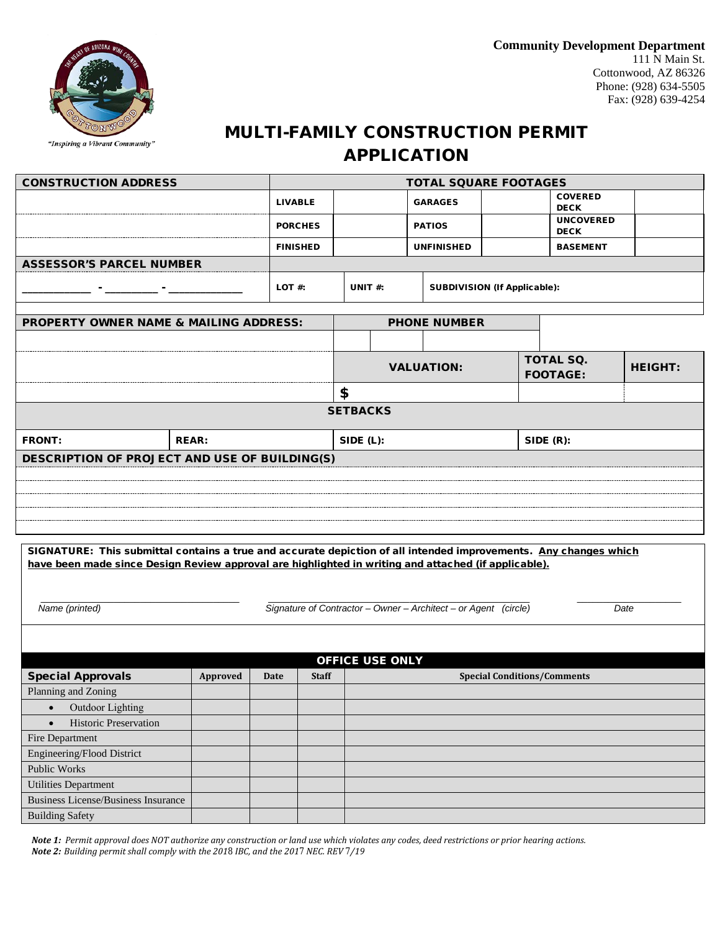

## MULTI-FAMILY CONSTRUCTION PERMIT APPLICATION

| <b>CONSTRUCTION ADDRESS</b>                       |                |                 |                                            |                   |                       | <b>TOTAL SQUARE FOOTAGES</b>    |  |                                                       |                 |  |  |
|---------------------------------------------------|----------------|-----------------|--------------------------------------------|-------------------|-----------------------|---------------------------------|--|-------------------------------------------------------|-----------------|--|--|
|                                                   | <b>LIVABLE</b> |                 |                                            | <b>GARAGES</b>    |                       |                                 |  | <b>COVERED</b><br><b>DECK</b>                         |                 |  |  |
|                                                   | <b>PORCHES</b> | <b>PATIOS</b>   |                                            |                   |                       | <b>UNCOVERED</b><br><b>DECK</b> |  |                                                       |                 |  |  |
|                                                   |                | <b>FINISHED</b> |                                            |                   |                       | <b>UNFINISHED</b>               |  |                                                       | <b>BASEMENT</b> |  |  |
| <b>ASSESSOR'S PARCEL NUMBER</b>                   |                |                 |                                            |                   |                       |                                 |  |                                                       |                 |  |  |
| the company of the company of the company         | LOT $#$ :      |                 | SUBDIVISION (If Applicable):<br>UNIT $#$ : |                   |                       |                                 |  |                                                       |                 |  |  |
|                                                   |                |                 |                                            |                   |                       |                                 |  |                                                       |                 |  |  |
| <b>PROPERTY OWNER NAME &amp; MAILING ADDRESS:</b> |                |                 |                                            |                   |                       | <b>PHONE NUMBER</b>             |  |                                                       |                 |  |  |
|                                                   |                |                 |                                            |                   |                       |                                 |  |                                                       |                 |  |  |
|                                                   |                |                 |                                            | <b>VALUATION:</b> |                       |                                 |  | <b>TOTAL SQ.</b><br><b>HEIGHT:</b><br><b>FOOTAGE:</b> |                 |  |  |
|                                                   |                |                 | \$                                         |                   |                       |                                 |  |                                                       |                 |  |  |
|                                                   |                |                 | <b>SETBACKS</b>                            |                   |                       |                                 |  |                                                       |                 |  |  |
| <b>FRONT:</b>                                     | <b>REAR:</b>   |                 |                                            |                   | SIDE (L):<br>SIDE(R): |                                 |  |                                                       |                 |  |  |
| DESCRIPTION OF PROJECT AND USE OF BUILDING(S)     |                |                 |                                            |                   |                       |                                 |  |                                                       |                 |  |  |
|                                                   |                |                 |                                            |                   |                       |                                 |  |                                                       |                 |  |  |
|                                                   |                |                 |                                            |                   |                       |                                 |  |                                                       |                 |  |  |
|                                                   |                |                 |                                            |                   |                       |                                 |  |                                                       |                 |  |  |
|                                                   |                |                 |                                            |                   |                       |                                 |  |                                                       |                 |  |  |
|                                                   |                |                 |                                            |                   |                       |                                 |  |                                                       |                 |  |  |

SIGNATURE: This submittal contains a true and accurate depiction of all intended improvements. Any changes which have been made since Design Review approval are highlighted in writing and attached (if applicable).

 \_\_\_\_\_\_\_\_\_\_\_\_\_\_\_\_\_\_\_\_\_\_\_\_\_\_\_\_\_\_\_\_\_\_\_\_\_\_ \_\_\_\_\_\_\_\_\_\_\_\_\_\_\_\_\_\_\_\_\_\_\_\_\_\_\_\_\_\_\_\_\_\_\_\_\_\_\_\_\_\_\_\_\_\_\_\_\_\_ \_\_\_\_\_\_\_\_\_\_\_\_\_\_\_\_\_\_\_\_  *Name (printed) Signature of Contractor – Owner – Architect – or Agent (circle) Date*

| <b>OFFICE USE ONLY</b>                     |          |      |              |                                    |  |  |  |  |  |
|--------------------------------------------|----------|------|--------------|------------------------------------|--|--|--|--|--|
| <b>Special Approvals</b>                   | Approved | Date | <b>Staff</b> | <b>Special Conditions/Comments</b> |  |  |  |  |  |
| Planning and Zoning                        |          |      |              |                                    |  |  |  |  |  |
| Outdoor Lighting                           |          |      |              |                                    |  |  |  |  |  |
| <b>Historic Preservation</b><br>$\bullet$  |          |      |              |                                    |  |  |  |  |  |
| Fire Department                            |          |      |              |                                    |  |  |  |  |  |
| Engineering/Flood District                 |          |      |              |                                    |  |  |  |  |  |
| Public Works                               |          |      |              |                                    |  |  |  |  |  |
| <b>Utilities Department</b>                |          |      |              |                                    |  |  |  |  |  |
| <b>Business License/Business Insurance</b> |          |      |              |                                    |  |  |  |  |  |
| <b>Building Safety</b>                     |          |      |              |                                    |  |  |  |  |  |

*Note 1: Permit approval does NOT authorize any construction or land use which violates any codes, deed restrictions or prior hearing actions. Note 2: Building permit shall comply with the 2018 IBC, and the 2017 NEC. REV 7/19*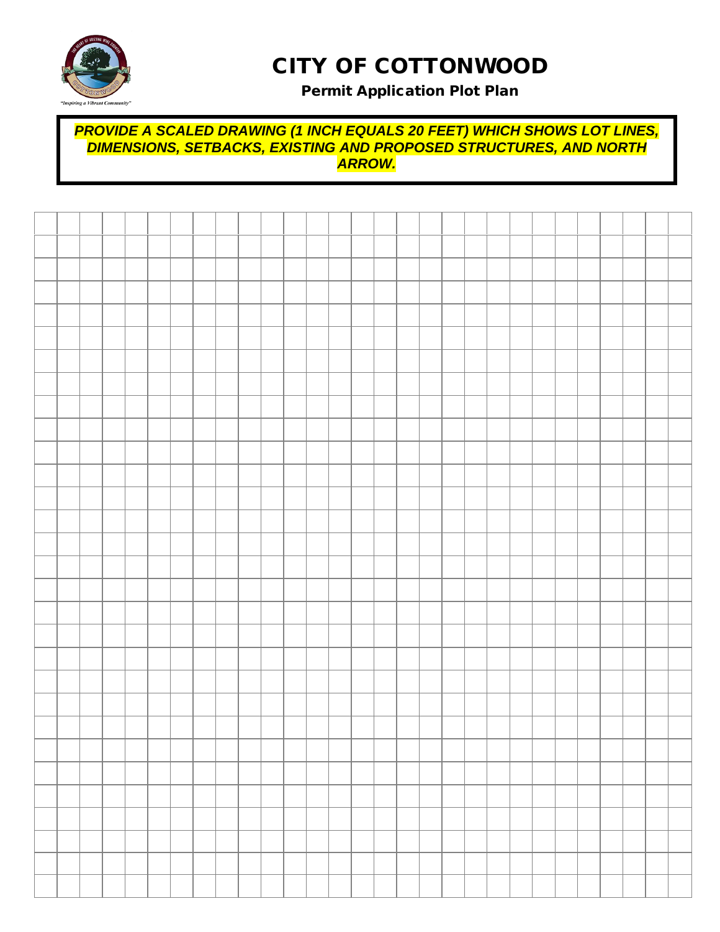

# CITY OF COTTONWOOD

## Permit Application Plot Plan

#### *PROVIDE A SCALED DRAWING (1 INCH EQUALS 20 FEET) WHICH SHOWS LOT LINES, DIMENSIONS, SETBACKS, EXISTING AND PROPOSED STRUCTURES, AND NORTH ARROW.*

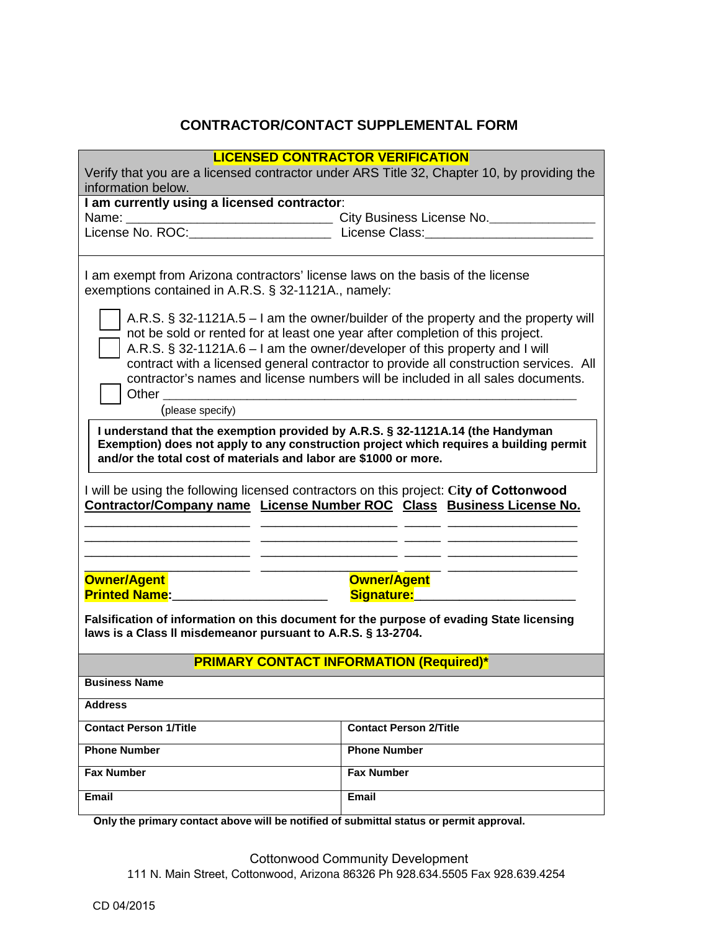## **CONTRACTOR/CONTACT SUPPLEMENTAL FORM**

| <b>LICENSED CONTRACTOR VERIFICATION</b><br>Verify that you are a licensed contractor under ARS Title 32, Chapter 10, by providing the                                                                                                                                                                                                                                                                                                  |                                             |  |  |  |  |  |  |  |  |
|----------------------------------------------------------------------------------------------------------------------------------------------------------------------------------------------------------------------------------------------------------------------------------------------------------------------------------------------------------------------------------------------------------------------------------------|---------------------------------------------|--|--|--|--|--|--|--|--|
| information below.                                                                                                                                                                                                                                                                                                                                                                                                                     |                                             |  |  |  |  |  |  |  |  |
| I am currently using a licensed contractor:                                                                                                                                                                                                                                                                                                                                                                                            |                                             |  |  |  |  |  |  |  |  |
|                                                                                                                                                                                                                                                                                                                                                                                                                                        |                                             |  |  |  |  |  |  |  |  |
|                                                                                                                                                                                                                                                                                                                                                                                                                                        |                                             |  |  |  |  |  |  |  |  |
| I am exempt from Arizona contractors' license laws on the basis of the license<br>exemptions contained in A.R.S. § 32-1121A., namely:                                                                                                                                                                                                                                                                                                  |                                             |  |  |  |  |  |  |  |  |
| A.R.S. § 32-1121A.5 – I am the owner/builder of the property and the property will<br>not be sold or rented for at least one year after completion of this project.<br>A.R.S. § 32-1121A.6 - I am the owner/developer of this property and I will<br>contract with a licensed general contractor to provide all construction services. All<br>contractor's names and license numbers will be included in all sales documents.<br>Other |                                             |  |  |  |  |  |  |  |  |
| (please specify)                                                                                                                                                                                                                                                                                                                                                                                                                       |                                             |  |  |  |  |  |  |  |  |
| I understand that the exemption provided by A.R.S. § 32-1121A.14 (the Handyman<br>Exemption) does not apply to any construction project which requires a building permit<br>and/or the total cost of materials and labor are \$1000 or more.<br>I will be using the following licensed contractors on this project: City of Cottonwood<br>Contractor/Company name License Number ROC Class Business License No.                        |                                             |  |  |  |  |  |  |  |  |
| <b>Owner/Agent</b><br><b>Printed Name:</b>                                                                                                                                                                                                                                                                                                                                                                                             | <b>Owner/Agent</b><br>Signature: Signature: |  |  |  |  |  |  |  |  |
| Falsification of information on this document for the purpose of evading State licensing<br>laws is a Class II misdemeanor pursuant to A.R.S. § 13-2704.                                                                                                                                                                                                                                                                               |                                             |  |  |  |  |  |  |  |  |
| <b>PRIMARY CONTACT INFORMATION (Required)*</b>                                                                                                                                                                                                                                                                                                                                                                                         |                                             |  |  |  |  |  |  |  |  |
| <b>Business Name</b>                                                                                                                                                                                                                                                                                                                                                                                                                   |                                             |  |  |  |  |  |  |  |  |
| <b>Address</b>                                                                                                                                                                                                                                                                                                                                                                                                                         |                                             |  |  |  |  |  |  |  |  |
| <b>Contact Person 1/Title</b>                                                                                                                                                                                                                                                                                                                                                                                                          | <b>Contact Person 2/Title</b>               |  |  |  |  |  |  |  |  |
| <b>Phone Number</b>                                                                                                                                                                                                                                                                                                                                                                                                                    | <b>Phone Number</b>                         |  |  |  |  |  |  |  |  |
| <b>Fax Number</b>                                                                                                                                                                                                                                                                                                                                                                                                                      | <b>Fax Number</b>                           |  |  |  |  |  |  |  |  |
| <b>Email</b><br>Email                                                                                                                                                                                                                                                                                                                                                                                                                  |                                             |  |  |  |  |  |  |  |  |

 **Only the primary contact above will be notified of submittal status or permit approval.** 

Cottonwood Community Development 111 N. Main Street, Cottonwood, Arizona 86326 Ph 928.634.5505 Fax 928.639.4254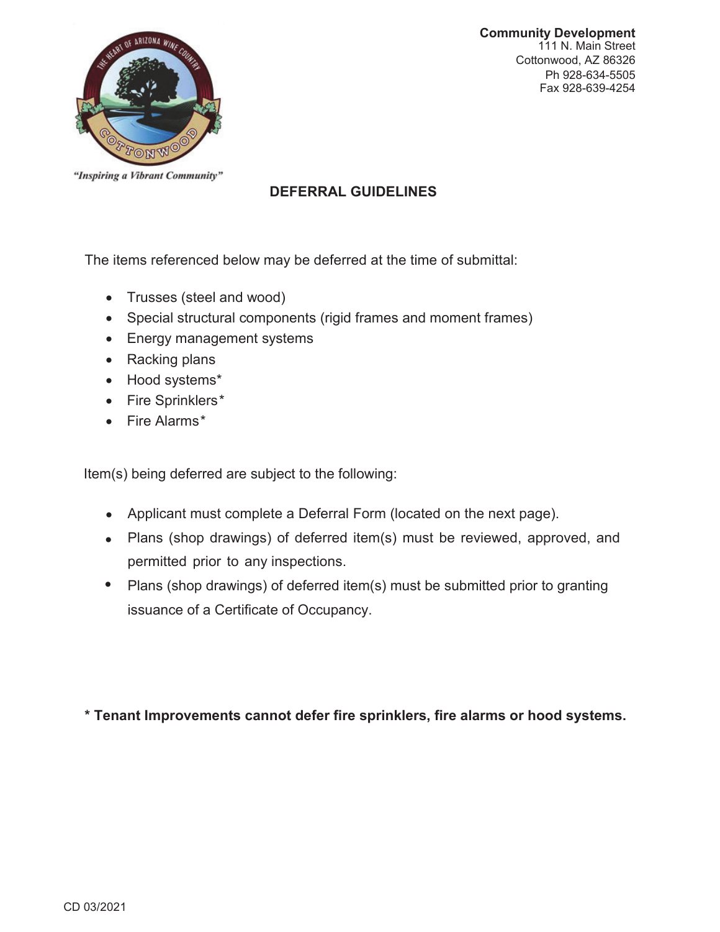



"Inspiring a Vibrant Community"

## **DEFERRAL GUIDELINES**

The items referenced below may be deferred at the time of submittal:

- Trusses (steel and wood)
- Special structural components (rigid frames and moment frames)
- Energy management systems
- $\bullet$  Racking plans
- Hood systems\*
- x Fire Sprinklers*\**
- x Fire Alarms*\**

Item(s) being deferred are subject to the following:

- Applicant must complete a Deferral Form (located on the next page).
- Plans (shop drawings) of deferred item(s) must be reviewed, approved, and permitted prior to any inspections.
- Plans (shop drawings) of deferred item(s) must be submitted prior to granting issuance of a Certificate of Occupancy.

\* Tenant Improvements cannot defer fire sprinklers, fire alarms or hood systems.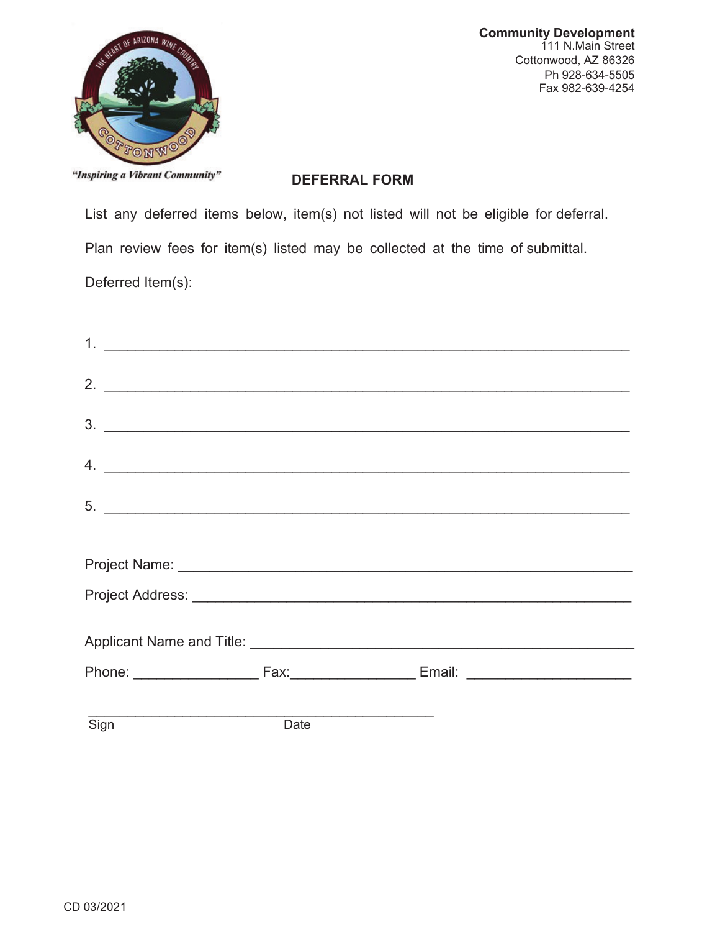

**Community Development** 111 N.Main Street Cottonwood, AZ 86326 Ph 928-634-5505 Fax 982-639-4254

"Inspiring a Vibrant Community"

#### **DEFERRAL FORM**

List any deferred items below, item(s) not listed will not be eligible for deferral.

Plan review fees for item(s) listed may be collected at the time of submittal.

Deferred Item(s):

|      |      | $\frac{3}{2}$                   |
|------|------|---------------------------------|
|      |      | $\mathcal{A}$ . $\qquad \qquad$ |
|      |      | $5.$ $\overline{\phantom{a}}$   |
|      |      |                                 |
|      |      |                                 |
|      |      |                                 |
|      |      |                                 |
|      |      |                                 |
| Sign | Date |                                 |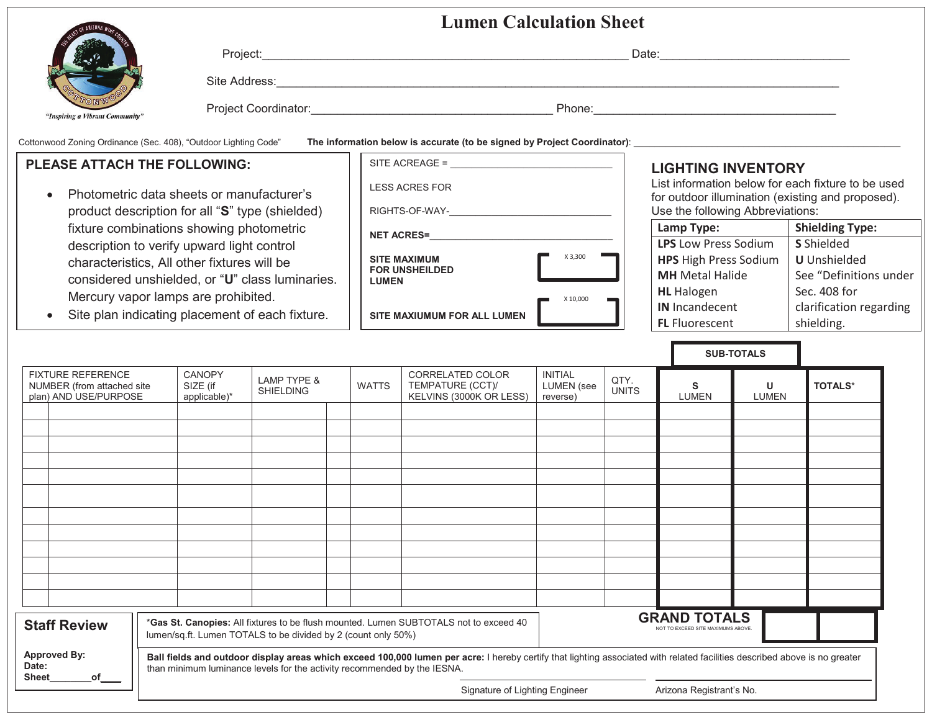|        | Project:             | Date:  |
|--------|----------------------|--------|
| 7<br>œ | Site Address:        |        |
| unity" | Project Coordinator: | Phone: |

Cottonwood Zoning Ordinance (Sec. 408), "Outdoor Lighting Code" The information below is accurate (to be signed by Project Coordinator):

#### **PLEASE ATTACH THE FOLLOWING:**

"Inspiring a Vibrant Comn

- Photometric data sheets or manufacturer's product description for all "**S**" type (shielded) fixture combinations showing photometric description to verify upward light control characteristics, All other fixtures will be considered unshielded, or "**U**" class luminaries. Mercury vapor lamps are prohibited.
- $\bullet$ Site plan indicating placement of each fixture.

| SITE ACREAGE =                                               |          |
|--------------------------------------------------------------|----------|
| <b>LESS ACRES FOR</b>                                        |          |
| RIGHTS-OF-WAY-                                               |          |
| <b>NET ACRES=</b>                                            |          |
| <b>SITE MAXIMUM</b><br><b>FOR UNSHEILDED</b><br><b>LUMEN</b> | X 3,300  |
| <b>SITE MAXIUMUM FOR ALL LUMEN</b>                           | X 10,000 |

### **LIGHTING INVENTORY**

List information below for each fixture to be used for outdoor illumination (existing and proposed). Use the following Abbreviations:

| Lamp Type:                   | <b>Shielding Type:</b>  |
|------------------------------|-------------------------|
| <b>LPS</b> Low Press Sodium  | <b>S</b> Shielded       |
| <b>HPS</b> High Press Sodium | <b>U</b> Unshielded     |
| <b>MH</b> Metal Halide       | See "Definitions under  |
| <b>HL</b> Halogen            | Sec. 408 for            |
| <b>IN</b> Incandecent        | clarification regarding |
| <b>FL</b> Fluorescent        | shielding.              |

|                                                                                                                                                                                                                                                                                                                               |  |                                                                                                                                                        |                                           |                                            |  |              |                                                                 |                                                 |                      |                                                           | <b>SUB-TOTALS</b> |                |
|-------------------------------------------------------------------------------------------------------------------------------------------------------------------------------------------------------------------------------------------------------------------------------------------------------------------------------|--|--------------------------------------------------------------------------------------------------------------------------------------------------------|-------------------------------------------|--------------------------------------------|--|--------------|-----------------------------------------------------------------|-------------------------------------------------|----------------------|-----------------------------------------------------------|-------------------|----------------|
| FIXTURE REFERENCE<br>NUMBER (from attached site<br>plan) AND USE/PURPOSE                                                                                                                                                                                                                                                      |  |                                                                                                                                                        | <b>CANOPY</b><br>SIZE (if<br>applicable)* | <b>LAMP TYPE &amp;</b><br><b>SHIELDING</b> |  | <b>WATTS</b> | CORRELATED COLOR<br>TEMPATURE (CCT)/<br>KELVINS (3000K OR LESS) | <b>INITIAL</b><br><b>LUMEN</b> (see<br>reverse) | QTY.<br><b>UNITS</b> | s<br><b>LUMEN</b>                                         | U<br><b>LUMEN</b> | <b>TOTALS*</b> |
|                                                                                                                                                                                                                                                                                                                               |  |                                                                                                                                                        |                                           |                                            |  |              |                                                                 |                                                 |                      |                                                           |                   |                |
|                                                                                                                                                                                                                                                                                                                               |  |                                                                                                                                                        |                                           |                                            |  |              |                                                                 |                                                 |                      |                                                           |                   |                |
|                                                                                                                                                                                                                                                                                                                               |  |                                                                                                                                                        |                                           |                                            |  |              |                                                                 |                                                 |                      |                                                           |                   |                |
|                                                                                                                                                                                                                                                                                                                               |  |                                                                                                                                                        |                                           |                                            |  |              |                                                                 |                                                 |                      |                                                           |                   |                |
|                                                                                                                                                                                                                                                                                                                               |  |                                                                                                                                                        |                                           |                                            |  |              |                                                                 |                                                 |                      |                                                           |                   |                |
|                                                                                                                                                                                                                                                                                                                               |  |                                                                                                                                                        |                                           |                                            |  |              |                                                                 |                                                 |                      |                                                           |                   |                |
|                                                                                                                                                                                                                                                                                                                               |  |                                                                                                                                                        |                                           |                                            |  |              |                                                                 |                                                 |                      |                                                           |                   |                |
|                                                                                                                                                                                                                                                                                                                               |  |                                                                                                                                                        |                                           |                                            |  |              |                                                                 |                                                 |                      |                                                           |                   |                |
|                                                                                                                                                                                                                                                                                                                               |  |                                                                                                                                                        |                                           |                                            |  |              |                                                                 |                                                 |                      |                                                           |                   |                |
|                                                                                                                                                                                                                                                                                                                               |  |                                                                                                                                                        |                                           |                                            |  |              |                                                                 |                                                 |                      |                                                           |                   |                |
|                                                                                                                                                                                                                                                                                                                               |  |                                                                                                                                                        |                                           |                                            |  |              |                                                                 |                                                 |                      |                                                           |                   |                |
|                                                                                                                                                                                                                                                                                                                               |  |                                                                                                                                                        |                                           |                                            |  |              |                                                                 |                                                 |                      |                                                           |                   |                |
| <b>Staff Review</b>                                                                                                                                                                                                                                                                                                           |  | *Gas St. Canopies: All fixtures to be flush mounted. Lumen SUBTOTALS not to exceed 40<br>lumen/sq.ft. Lumen TOTALS to be divided by 2 (count only 50%) |                                           |                                            |  |              |                                                                 |                                                 |                      | <b>GRAND TOTALS</b><br>NOT TO EXCEED SITE MAXIMUMS ABOVE. |                   |                |
| <b>Approved By:</b><br>Ball fields and outdoor display areas which exceed 100,000 lumen per acre: I hereby certify that lighting associated with related facilities described above is no greater<br>Date:<br>than minimum luminance levels for the activity recommended by the IESNA.<br><b>Sheet</b><br>$of$ <sub>___</sub> |  |                                                                                                                                                        |                                           |                                            |  |              |                                                                 |                                                 |                      |                                                           |                   |                |
|                                                                                                                                                                                                                                                                                                                               |  |                                                                                                                                                        | Signature of Lighting Engineer            |                                            |  |              |                                                                 |                                                 |                      | Arizona Registrant's No.                                  |                   |                |